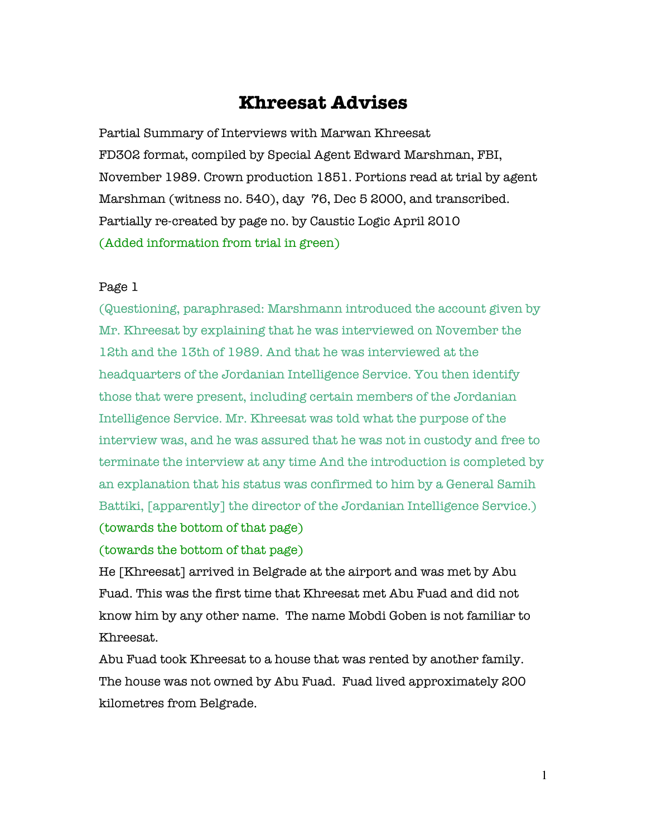# **Khreesat Advises**

Partial Summary of Interviews with Marwan Khreesat FD302 format, compiled by Special Agent Edward Marshman, FBI, November 1989. Crown production 1851. Portions read at trial by agent Marshman (witness no. 540), day 76, Dec 5 2000, and transcribed. Partially re-created by page no. by Caustic Logic April 2010 (Added information from trial in green)

### Page 1

(Questioning, paraphrased: Marshmann introduced the account given by Mr. Khreesat by explaining that he was interviewed on November the 12th and the 13th of 1989. And that he was interviewed at the headquarters of the Jordanian Intelligence Service. You then identify those that were present, including certain members of the Jordanian Intelligence Service. Mr. Khreesat was told what the purpose of the interview was, and he was assured that he was not in custody and free to terminate the interview at any time And the introduction is completed by an explanation that his status was confirmed to him by a General Samih Battiki, [apparently] the director of the Jordanian Intelligence Service.)

(towards the bottom of that page)

(towards the bottom of that page)

He [Khreesat] arrived in Belgrade at the airport and was met by Abu Fuad. This was the first time that Khreesat met Abu Fuad and did not know him by any other name. The name Mobdi Goben is not familiar to Khreesat.

Abu Fuad took Khreesat to a house that was rented by another family. The house was not owned by Abu Fuad. Fuad lived approximately 200 kilometres from Belgrade.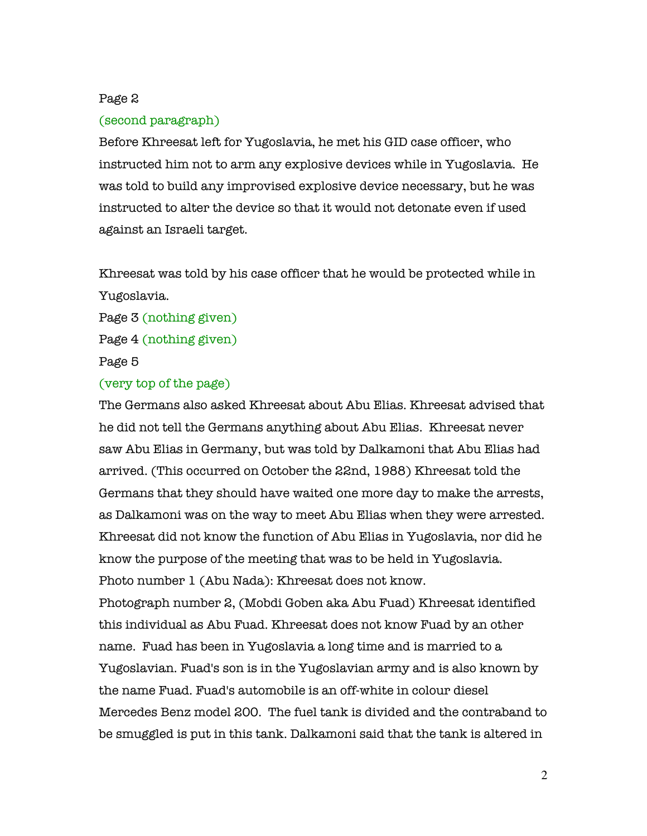# Page 2

# (second paragraph)

Before Khreesat left for Yugoslavia, he met his GID case officer, who instructed him not to arm any explosive devices while in Yugoslavia. He was told to build any improvised explosive device necessary, but he was instructed to alter the device so that it would not detonate even if used against an Israeli target.

Khreesat was told by his case officer that he would be protected while in Yugoslavia.

Page 3 (nothing given) Page 4 (nothing given) Page 5

# (very top of the page)

The Germans also asked Khreesat about Abu Elias. Khreesat advised that he did not tell the Germans anything about Abu Elias. Khreesat never saw Abu Elias in Germany, but was told by Dalkamoni that Abu Elias had arrived. (This occurred on October the 22nd, 1988) Khreesat told the Germans that they should have waited one more day to make the arrests, as Dalkamoni was on the way to meet Abu Elias when they were arrested. Khreesat did not know the function of Abu Elias in Yugoslavia, nor did he know the purpose of the meeting that was to be held in Yugoslavia. Photo number 1 (Abu Nada): Khreesat does not know. Photograph number 2, (Mobdi Goben aka Abu Fuad) Khreesat identified this individual as Abu Fuad. Khreesat does not know Fuad by an other name. Fuad has been in Yugoslavia a long time and is married to a Yugoslavian. Fuad's son is in the Yugoslavian army and is also known by the name Fuad. Fuad's automobile is an off-white in colour diesel Mercedes Benz model 200. The fuel tank is divided and the contraband to be smuggled is put in this tank. Dalkamoni said that the tank is altered in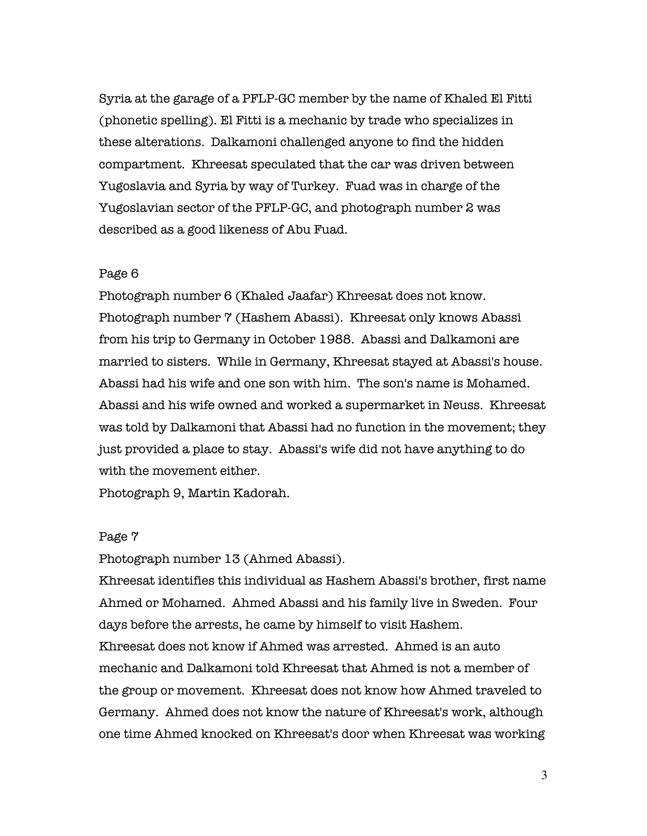Syria at the garage of a PFLP-GC member by the name of Khaled El Fitti (phonetic spelling). El Fitti is a mechanic by trade who specializes in these alterations. Dalkamoni challenged anyone to find the hidden compartment. Khreesat speculated that the car was driven between Yugoslavia and Syria by way of Turkey. Fuad was in charge of the Yugoslavian sector of the PFLP-GC, and photograph number 2 was described as a good likeness of Abu Fuad.

### Page 6

Photograph number 6 (Khaled Jaafar) Khreesat does not know. Photograph number 7 (Hashem Abassi). Khreesat only knows Abassi from his trip to Germany in October 1988. Abassi and Dalkamoni are married to sisters. While in Germany, Khreesat stayed at Abassi's house. Abassi had his wife and one son with him. The son's name is Mohamed. Abassi and his wife owned and worked a supermarket in Neuss. Khreesat was told by Dalkamoni that Abassi had no function in the movement; they just provided a place to stay. Abassi's wife did not have anything to do with the movement either.

Photograph 9, Martin Kadorah.

### Page 7

Photograph number 13 (Ahmed Abassi).

Khreesat identifies this individual as Hashem Abassi's brother, first name Ahmed or Mohamed. Ahmed Abassi and his family live in Sweden. Four days before the arrests, he came by himself to visit Hashem. Khreesat does not know if Ahmed was arrested. Ahmed is an auto mechanic and Dalkamoni told Khreesat that Ahmed is not a member of the group or movement. Khreesat does not know how Ahmed traveled to Germany. Ahmed does not know the nature of Khreesat's work, although one time Ahmed knocked on Khreesat's door when Khreesat was working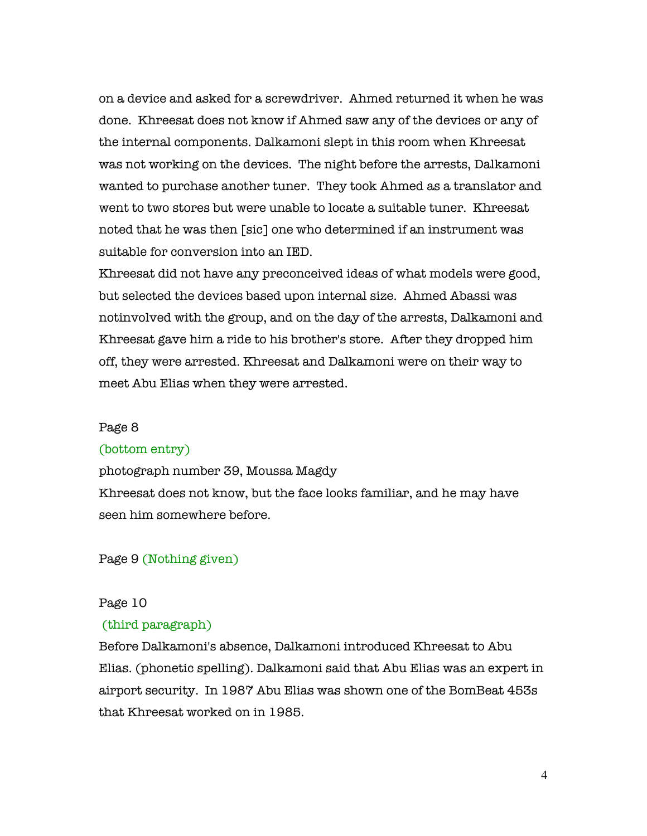on a device and asked for a screwdriver. Ahmed returned it when he was done. Khreesat does not know if Ahmed saw any of the devices or any of the internal components. Dalkamoni slept in this room when Khreesat was not working on the devices. The night before the arrests, Dalkamoni wanted to purchase another tuner. They took Ahmed as a translator and went to two stores but were unable to locate a suitable tuner. Khreesat noted that he was then [sic] one who determined if an instrument was suitable for conversion into an IED.

Khreesat did not have any preconceived ideas of what models were good, but selected the devices based upon internal size. Ahmed Abassi was notinvolved with the group, and on the day of the arrests, Dalkamoni and Khreesat gave him a ride to his brother's store. After they dropped him off, they were arrested. Khreesat and Dalkamoni were on their way to meet Abu Elias when they were arrested.

### Page 8

#### (bottom entry)

photograph number 39, Moussa Magdy

Khreesat does not know, but the face looks familiar, and he may have seen him somewhere before.

### Page 9 (Nothing given)

### Page 10

### (third paragraph)

Before Dalkamoni's absence, Dalkamoni introduced Khreesat to Abu Elias. (phonetic spelling). Dalkamoni said that Abu Elias was an expert in airport security. In 1987 Abu Elias was shown one of the BomBeat 453s that Khreesat worked on in 1985.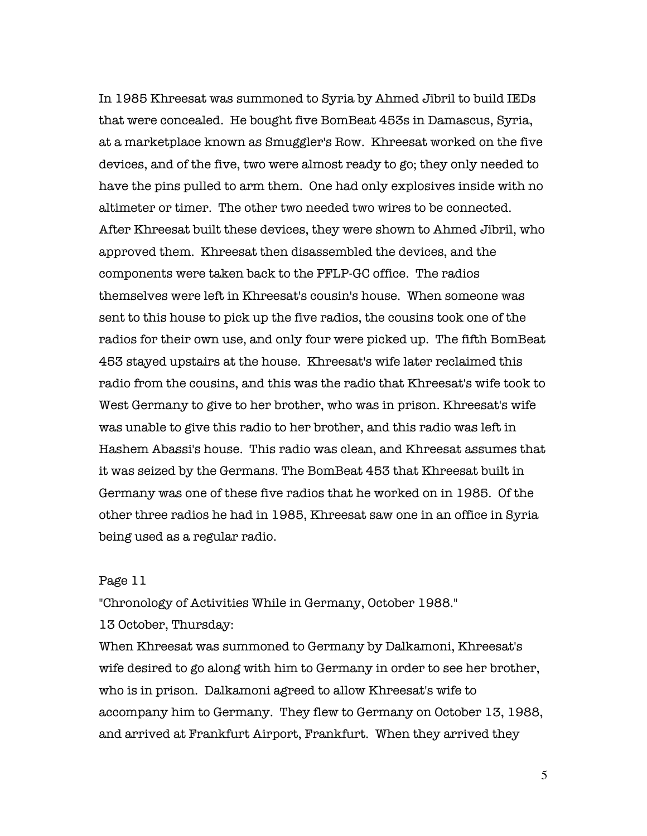In 1985 Khreesat was summoned to Syria by Ahmed Jibril to build IEDs that were concealed. He bought five BomBeat 453s in Damascus, Syria, at a marketplace known as Smuggler's Row. Khreesat worked on the five devices, and of the five, two were almost ready to go; they only needed to have the pins pulled to arm them. One had only explosives inside with no altimeter or timer. The other two needed two wires to be connected. After Khreesat built these devices, they were shown to Ahmed Jibril, who approved them. Khreesat then disassembled the devices, and the components were taken back to the PFLP-GC office. The radios themselves were left in Khreesat's cousin's house. When someone was sent to this house to pick up the five radios, the cousins took one of the radios for their own use, and only four were picked up. The fifth BomBeat 453 stayed upstairs at the house. Khreesat's wife later reclaimed this radio from the cousins, and this was the radio that Khreesat's wife took to West Germany to give to her brother, who was in prison. Khreesat's wife was unable to give this radio to her brother, and this radio was left in Hashem Abassi's house. This radio was clean, and Khreesat assumes that it was seized by the Germans. The BomBeat 453 that Khreesat built in Germany was one of these five radios that he worked on in 1985. Of the other three radios he had in 1985, Khreesat saw one in an office in Syria being used as a regular radio.

### Page 11

"Chronology of Activities While in Germany, October 1988."

13 October, Thursday:

When Khreesat was summoned to Germany by Dalkamoni, Khreesat's wife desired to go along with him to Germany in order to see her brother, who is in prison. Dalkamoni agreed to allow Khreesat's wife to accompany him to Germany. They flew to Germany on October 13, 1988, and arrived at Frankfurt Airport, Frankfurt. When they arrived they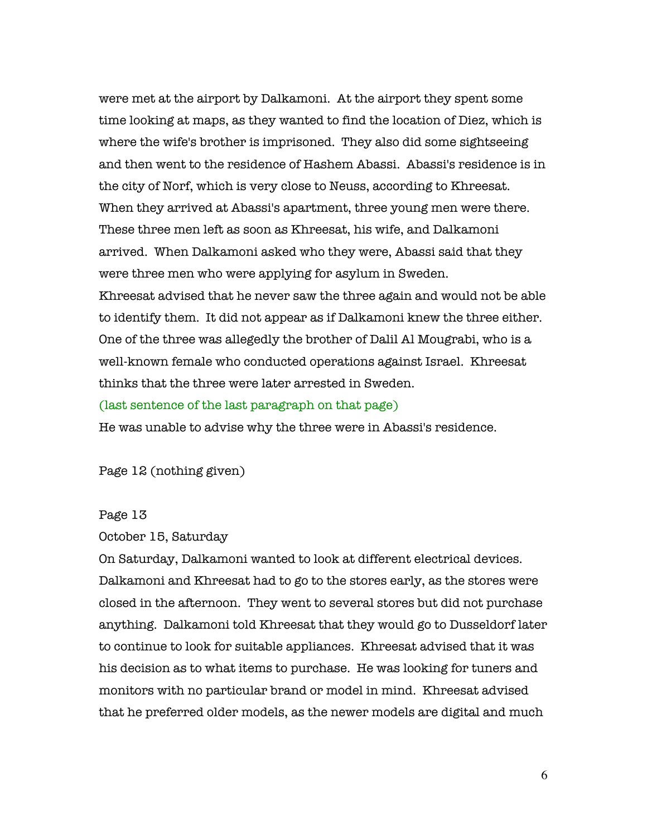were met at the airport by Dalkamoni. At the airport they spent some time looking at maps, as they wanted to find the location of Diez, which is where the wife's brother is imprisoned. They also did some sightseeing and then went to the residence of Hashem Abassi. Abassi's residence is in the city of Norf, which is very close to Neuss, according to Khreesat. When they arrived at Abassi's apartment, three young men were there. These three men left as soon as Khreesat, his wife, and Dalkamoni arrived. When Dalkamoni asked who they were, Abassi said that they were three men who were applying for asylum in Sweden. Khreesat advised that he never saw the three again and would not be able to identify them. It did not appear as if Dalkamoni knew the three either. One of the three was allegedly the brother of Dalil Al Mougrabi, who is a well-known female who conducted operations against Israel. Khreesat thinks that the three were later arrested in Sweden. (last sentence of the last paragraph on that page)

He was unable to advise why the three were in Abassi's residence.

Page 12 (nothing given)

#### Page 13

October 15, Saturday

On Saturday, Dalkamoni wanted to look at different electrical devices. Dalkamoni and Khreesat had to go to the stores early, as the stores were closed in the afternoon. They went to several stores but did not purchase anything. Dalkamoni told Khreesat that they would go to Dusseldorf later to continue to look for suitable appliances. Khreesat advised that it was his decision as to what items to purchase. He was looking for tuners and monitors with no particular brand or model in mind. Khreesat advised that he preferred older models, as the newer models are digital and much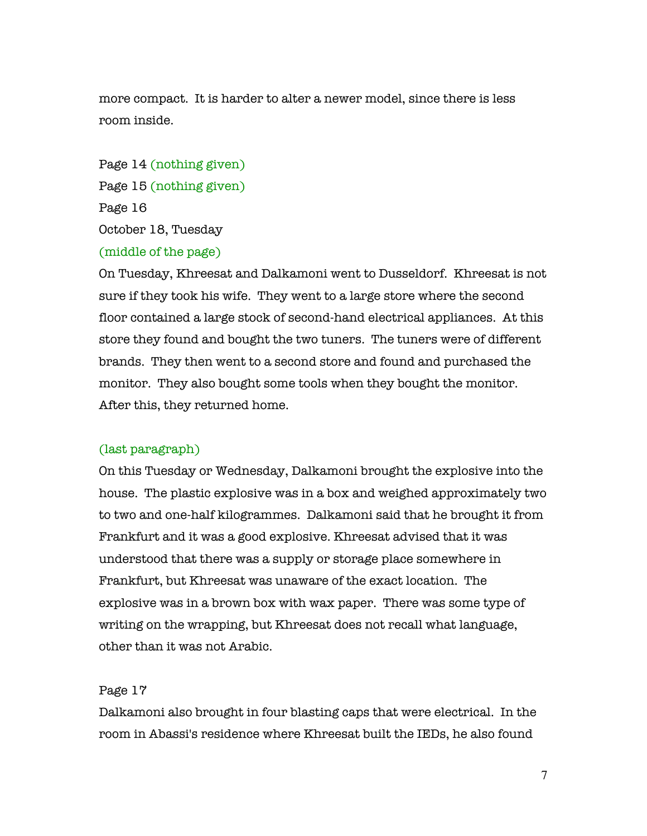more compact. It is harder to alter a newer model, since there is less room inside.

Page 14 (nothing given) Page 15 (nothing given) Page 16 October 18, Tuesday

# (middle of the page)

On Tuesday, Khreesat and Dalkamoni went to Dusseldorf. Khreesat is not sure if they took his wife. They went to a large store where the second floor contained a large stock of second-hand electrical appliances. At this store they found and bought the two tuners. The tuners were of different brands. They then went to a second store and found and purchased the monitor. They also bought some tools when they bought the monitor. After this, they returned home.

### (last paragraph)

On this Tuesday or Wednesday, Dalkamoni brought the explosive into the house. The plastic explosive was in a box and weighed approximately two to two and one-half kilogrammes. Dalkamoni said that he brought it from Frankfurt and it was a good explosive. Khreesat advised that it was understood that there was a supply or storage place somewhere in Frankfurt, but Khreesat was unaware of the exact location. The explosive was in a brown box with wax paper. There was some type of writing on the wrapping, but Khreesat does not recall what language, other than it was not Arabic.

#### Page 17

Dalkamoni also brought in four blasting caps that were electrical. In the room in Abassi's residence where Khreesat built the IEDs, he also found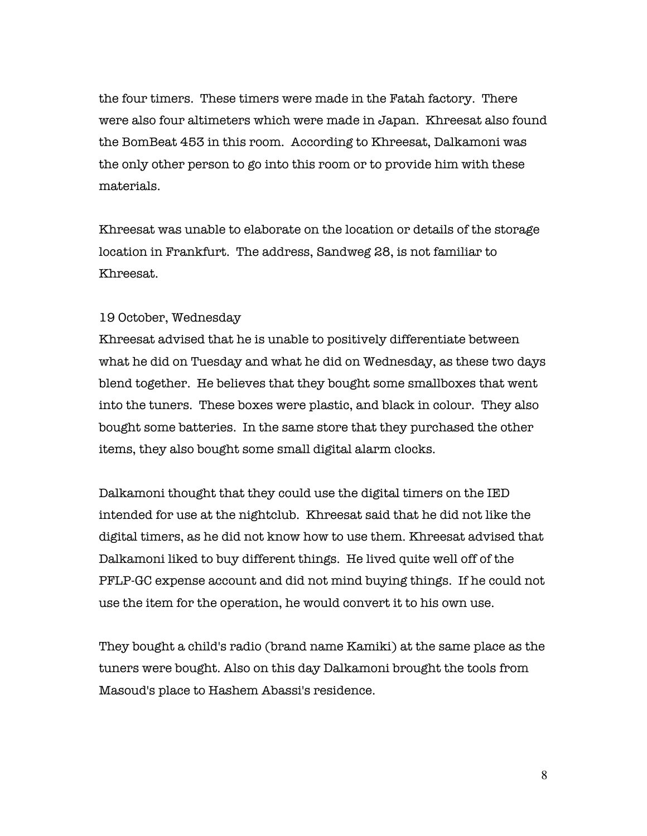the four timers. These timers were made in the Fatah factory. There were also four altimeters which were made in Japan. Khreesat also found the BomBeat 453 in this room. According to Khreesat, Dalkamoni was the only other person to go into this room or to provide him with these materials.

Khreesat was unable to elaborate on the location or details of the storage location in Frankfurt. The address, Sandweg 28, is not familiar to Khreesat.

### 19 October, Wednesday

Khreesat advised that he is unable to positively differentiate between what he did on Tuesday and what he did on Wednesday, as these two days blend together. He believes that they bought some smallboxes that went into the tuners. These boxes were plastic, and black in colour. They also bought some batteries. In the same store that they purchased the other items, they also bought some small digital alarm clocks.

Dalkamoni thought that they could use the digital timers on the IED intended for use at the nightclub. Khreesat said that he did not like the digital timers, as he did not know how to use them. Khreesat advised that Dalkamoni liked to buy different things. He lived quite well off of the PFLP-GC expense account and did not mind buying things. If he could not use the item for the operation, he would convert it to his own use.

They bought a child's radio (brand name Kamiki) at the same place as the tuners were bought. Also on this day Dalkamoni brought the tools from Masoud's place to Hashem Abassi's residence.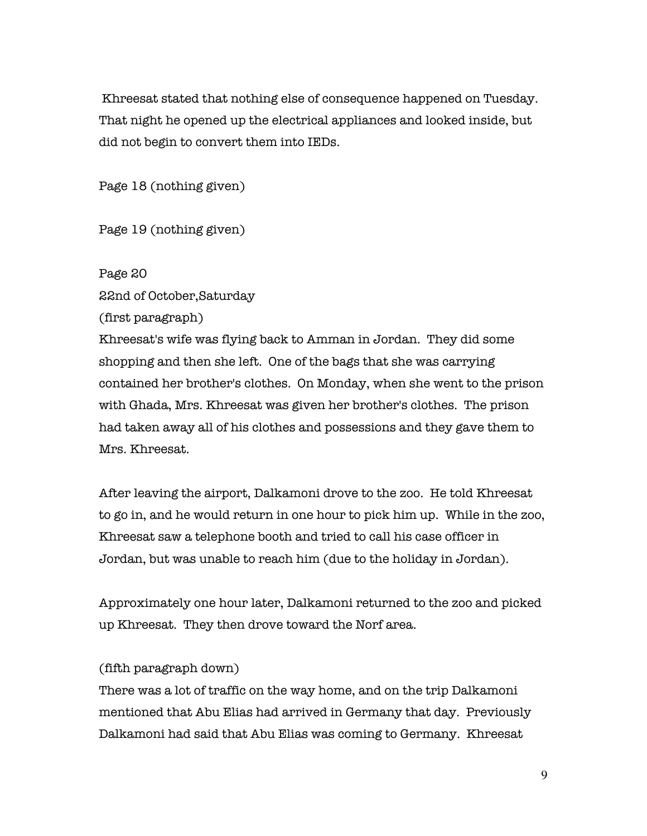Khreesat stated that nothing else of consequence happened on Tuesday. That night he opened up the electrical appliances and looked inside, but did not begin to convert them into IEDs.

Page 18 (nothing given)

Page 19 (nothing given)

Page 20 22nd of October,Saturday

(first paragraph)

Khreesat's wife was flying back to Amman in Jordan. They did some shopping and then she left. One of the bags that she was carrying contained her brother's clothes. On Monday, when she went to the prison with Ghada, Mrs. Khreesat was given her brother's clothes. The prison had taken away all of his clothes and possessions and they gave them to Mrs. Khreesat.

After leaving the airport, Dalkamoni drove to the zoo. He told Khreesat to go in, and he would return in one hour to pick him up. While in the zoo, Khreesat saw a telephone booth and tried to call his case officer in Jordan, but was unable to reach him (due to the holiday in Jordan).

Approximately one hour later, Dalkamoni returned to the zoo and picked up Khreesat. They then drove toward the Norf area.

# (fifth paragraph down)

There was a lot of traffic on the way home, and on the trip Dalkamoni mentioned that Abu Elias had arrived in Germany that day. Previously Dalkamoni had said that Abu Elias was coming to Germany. Khreesat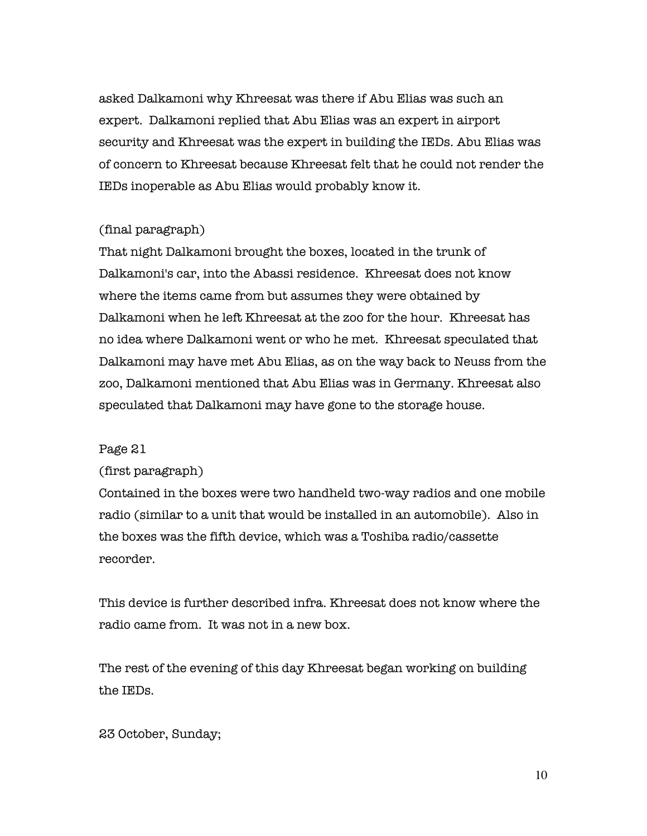asked Dalkamoni why Khreesat was there if Abu Elias was such an expert. Dalkamoni replied that Abu Elias was an expert in airport security and Khreesat was the expert in building the IEDs. Abu Elias was of concern to Khreesat because Khreesat felt that he could not render the IEDs inoperable as Abu Elias would probably know it.

# (final paragraph)

That night Dalkamoni brought the boxes, located in the trunk of Dalkamoni's car, into the Abassi residence. Khreesat does not know where the items came from but assumes they were obtained by Dalkamoni when he left Khreesat at the zoo for the hour. Khreesat has no idea where Dalkamoni went or who he met. Khreesat speculated that Dalkamoni may have met Abu Elias, as on the way back to Neuss from the zoo, Dalkamoni mentioned that Abu Elias was in Germany. Khreesat also speculated that Dalkamoni may have gone to the storage house.

### Page 21

### (first paragraph)

Contained in the boxes were two handheld two-way radios and one mobile radio (similar to a unit that would be installed in an automobile). Also in the boxes was the fifth device, which was a Toshiba radio/cassette recorder.

This device is further described infra. Khreesat does not know where the radio came from. It was not in a new box.

The rest of the evening of this day Khreesat began working on building the IEDs.

23 October, Sunday;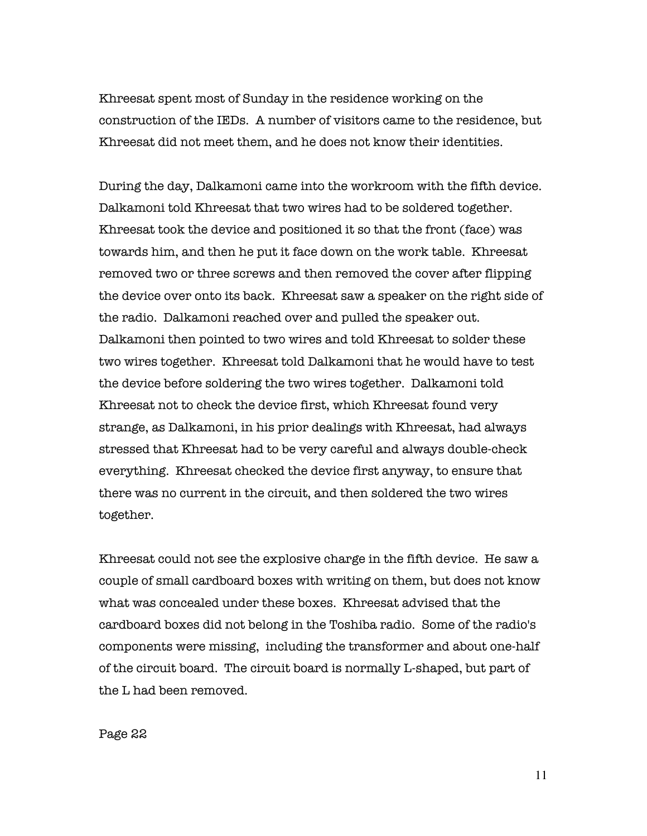Khreesat spent most of Sunday in the residence working on the construction of the IEDs. A number of visitors came to the residence, but Khreesat did not meet them, and he does not know their identities.

During the day, Dalkamoni came into the workroom with the fifth device. Dalkamoni told Khreesat that two wires had to be soldered together. Khreesat took the device and positioned it so that the front (face) was towards him, and then he put it face down on the work table. Khreesat removed two or three screws and then removed the cover after flipping the device over onto its back. Khreesat saw a speaker on the right side of the radio. Dalkamoni reached over and pulled the speaker out. Dalkamoni then pointed to two wires and told Khreesat to solder these two wires together. Khreesat told Dalkamoni that he would have to test the device before soldering the two wires together. Dalkamoni told Khreesat not to check the device first, which Khreesat found very strange, as Dalkamoni, in his prior dealings with Khreesat, had always stressed that Khreesat had to be very careful and always double-check everything. Khreesat checked the device first anyway, to ensure that there was no current in the circuit, and then soldered the two wires together.

Khreesat could not see the explosive charge in the fifth device. He saw a couple of small cardboard boxes with writing on them, but does not know what was concealed under these boxes. Khreesat advised that the cardboard boxes did not belong in the Toshiba radio. Some of the radio's components were missing, including the transformer and about one-half of the circuit board. The circuit board is normally L-shaped, but part of the L had been removed.

Page 22

11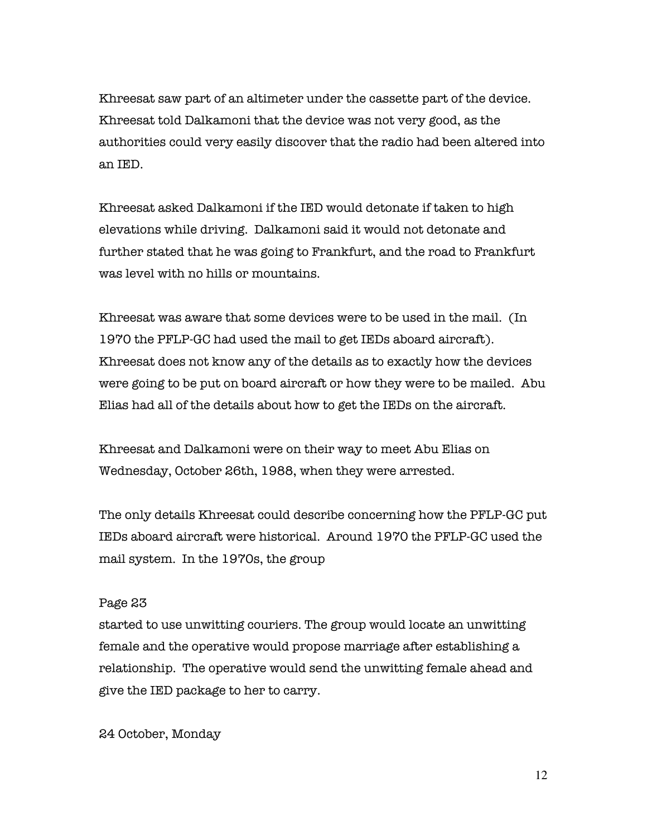Khreesat saw part of an altimeter under the cassette part of the device. Khreesat told Dalkamoni that the device was not very good, as the authorities could very easily discover that the radio had been altered into an IED.

Khreesat asked Dalkamoni if the IED would detonate if taken to high elevations while driving. Dalkamoni said it would not detonate and further stated that he was going to Frankfurt, and the road to Frankfurt was level with no hills or mountains.

Khreesat was aware that some devices were to be used in the mail. (In 1970 the PFLP-GC had used the mail to get IEDs aboard aircraft). Khreesat does not know any of the details as to exactly how the devices were going to be put on board aircraft or how they were to be mailed. Abu Elias had all of the details about how to get the IEDs on the aircraft.

Khreesat and Dalkamoni were on their way to meet Abu Elias on Wednesday, October 26th, 1988, when they were arrested.

The only details Khreesat could describe concerning how the PFLP-GC put IEDs aboard aircraft were historical. Around 1970 the PFLP-GC used the mail system. In the 1970s, the group

### Page 23

started to use unwitting couriers. The group would locate an unwitting female and the operative would propose marriage after establishing a relationship. The operative would send the unwitting female ahead and give the IED package to her to carry.

24 October, Monday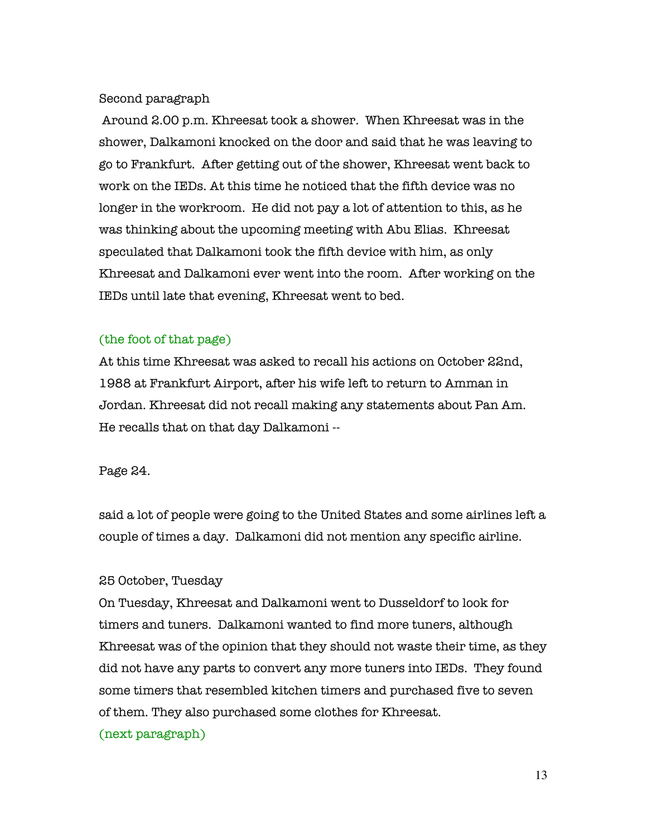# Second paragraph

 Around 2.00 p.m. Khreesat took a shower. When Khreesat was in the shower, Dalkamoni knocked on the door and said that he was leaving to go to Frankfurt. After getting out of the shower, Khreesat went back to work on the IEDs. At this time he noticed that the fifth device was no longer in the workroom. He did not pay a lot of attention to this, as he was thinking about the upcoming meeting with Abu Elias. Khreesat speculated that Dalkamoni took the fifth device with him, as only Khreesat and Dalkamoni ever went into the room. After working on the IEDs until late that evening, Khreesat went to bed.

# (the foot of that page)

At this time Khreesat was asked to recall his actions on October 22nd, 1988 at Frankfurt Airport, after his wife left to return to Amman in Jordan. Khreesat did not recall making any statements about Pan Am. He recalls that on that day Dalkamoni --

# Page 24.

said a lot of people were going to the United States and some airlines left a couple of times a day. Dalkamoni did not mention any specific airline.

# 25 October, Tuesday

On Tuesday, Khreesat and Dalkamoni went to Dusseldorf to look for timers and tuners. Dalkamoni wanted to find more tuners, although Khreesat was of the opinion that they should not waste their time, as they did not have any parts to convert any more tuners into IEDs. They found some timers that resembled kitchen timers and purchased five to seven of them. They also purchased some clothes for Khreesat.

### (next paragraph)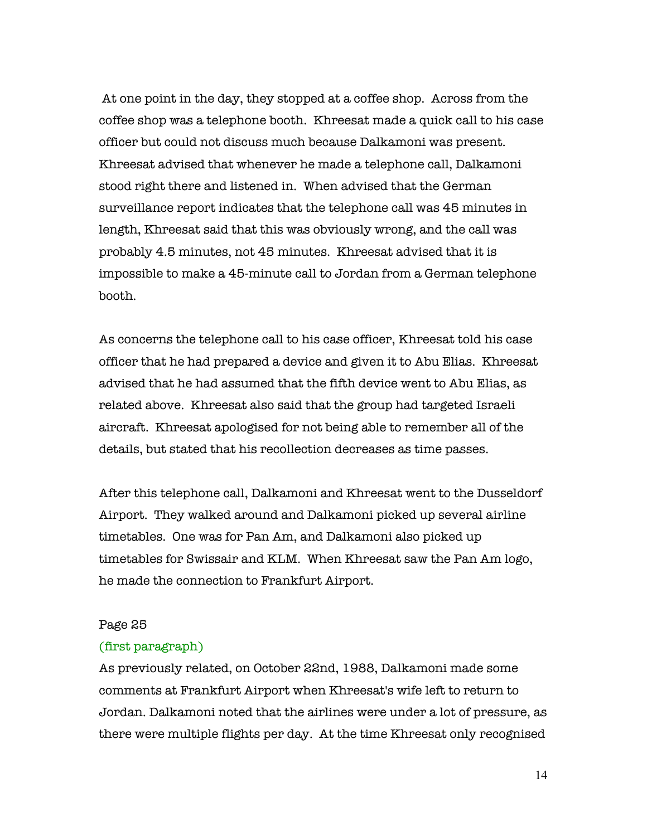At one point in the day, they stopped at a coffee shop. Across from the coffee shop was a telephone booth. Khreesat made a quick call to his case officer but could not discuss much because Dalkamoni was present. Khreesat advised that whenever he made a telephone call, Dalkamoni stood right there and listened in. When advised that the German surveillance report indicates that the telephone call was 45 minutes in length, Khreesat said that this was obviously wrong, and the call was probably 4.5 minutes, not 45 minutes. Khreesat advised that it is impossible to make a 45-minute call to Jordan from a German telephone booth.

As concerns the telephone call to his case officer, Khreesat told his case officer that he had prepared a device and given it to Abu Elias. Khreesat advised that he had assumed that the fifth device went to Abu Elias, as related above. Khreesat also said that the group had targeted Israeli aircraft. Khreesat apologised for not being able to remember all of the details, but stated that his recollection decreases as time passes.

After this telephone call, Dalkamoni and Khreesat went to the Dusseldorf Airport. They walked around and Dalkamoni picked up several airline timetables. One was for Pan Am, and Dalkamoni also picked up timetables for Swissair and KLM. When Khreesat saw the Pan Am logo, he made the connection to Frankfurt Airport.

### Page 25

#### (first paragraph)

As previously related, on October 22nd, 1988, Dalkamoni made some comments at Frankfurt Airport when Khreesat's wife left to return to Jordan. Dalkamoni noted that the airlines were under a lot of pressure, as there were multiple flights per day. At the time Khreesat only recognised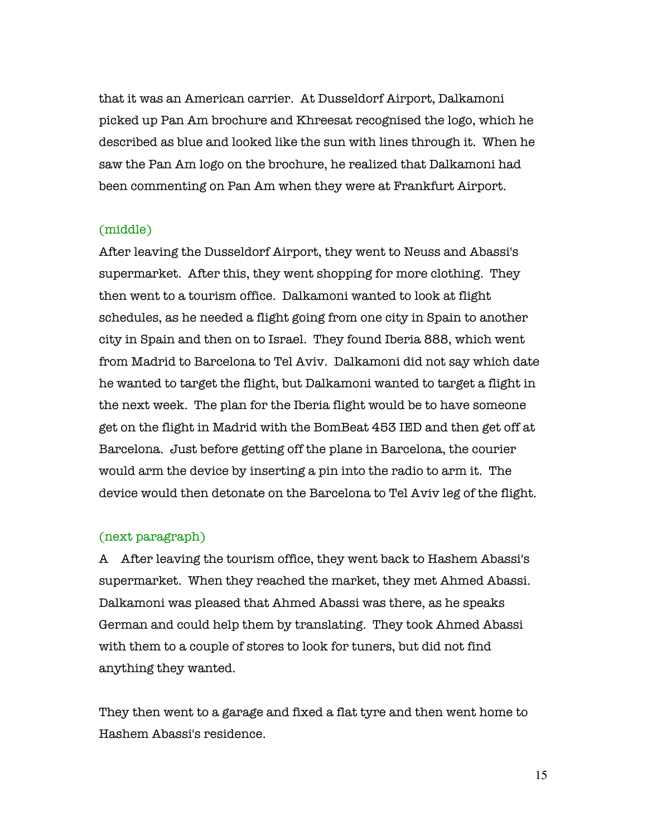that it was an American carrier. At Dusseldorf Airport, Dalkamoni picked up Pan Am brochure and Khreesat recognised the logo, which he described as blue and looked like the sun with lines through it. When he saw the Pan Am logo on the brochure, he realized that Dalkamoni had been commenting on Pan Am when they were at Frankfurt Airport.

### (middle)

After leaving the Dusseldorf Airport, they went to Neuss and Abassi's supermarket. After this, they went shopping for more clothing. They then went to a tourism office. Dalkamoni wanted to look at flight schedules, as he needed a flight going from one city in Spain to another city in Spain and then on to Israel. They found Iberia 888, which went from Madrid to Barcelona to Tel Aviv. Dalkamoni did not say which date he wanted to target the flight, but Dalkamoni wanted to target a flight in the next week. The plan for the Iberia flight would be to have someone get on the flight in Madrid with the BomBeat 453 IED and then get off at Barcelona. Just before getting off the plane in Barcelona, the courier would arm the device by inserting a pin into the radio to arm it. The device would then detonate on the Barcelona to Tel Aviv leg of the flight.

### (next paragraph)

A After leaving the tourism office, they went back to Hashem Abassi's supermarket. When they reached the market, they met Ahmed Abassi. Dalkamoni was pleased that Ahmed Abassi was there, as he speaks German and could help them by translating. They took Ahmed Abassi with them to a couple of stores to look for tuners, but did not find anything they wanted.

They then went to a garage and fixed a flat tyre and then went home to Hashem Abassi's residence.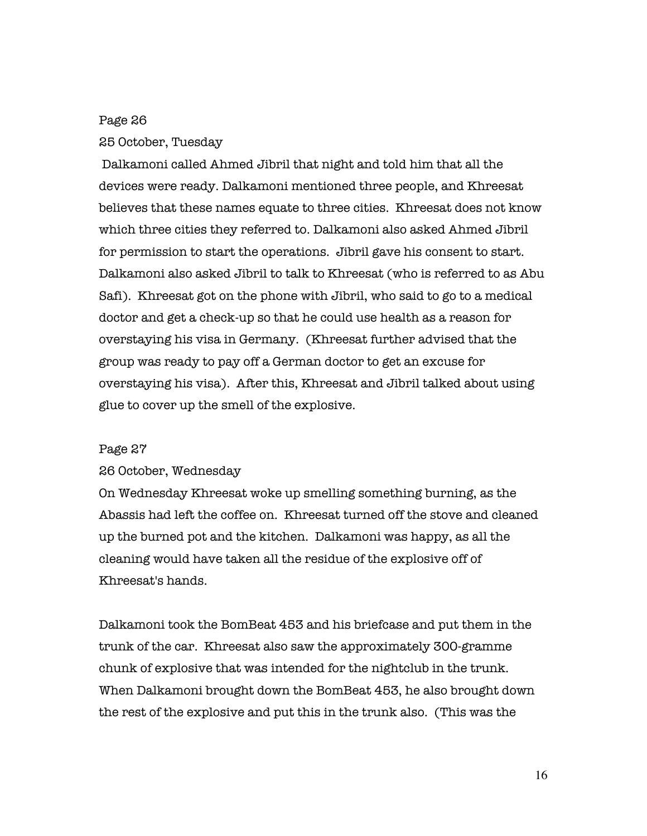#### Page 26

#### 25 October, Tuesday

 Dalkamoni called Ahmed Jibril that night and told him that all the devices were ready. Dalkamoni mentioned three people, and Khreesat believes that these names equate to three cities. Khreesat does not know which three cities they referred to. Dalkamoni also asked Ahmed Jibril for permission to start the operations. Jibril gave his consent to start. Dalkamoni also asked Jibril to talk to Khreesat (who is referred to as Abu Safi). Khreesat got on the phone with Jibril, who said to go to a medical doctor and get a check-up so that he could use health as a reason for overstaying his visa in Germany. (Khreesat further advised that the group was ready to pay off a German doctor to get an excuse for overstaying his visa). After this, Khreesat and Jibril talked about using glue to cover up the smell of the explosive.

### Page 27

#### 26 October, Wednesday

On Wednesday Khreesat woke up smelling something burning, as the Abassis had left the coffee on. Khreesat turned off the stove and cleaned up the burned pot and the kitchen. Dalkamoni was happy, as all the cleaning would have taken all the residue of the explosive off of Khreesat's hands.

Dalkamoni took the BomBeat 453 and his briefcase and put them in the trunk of the car. Khreesat also saw the approximately 300-gramme chunk of explosive that was intended for the nightclub in the trunk. When Dalkamoni brought down the BomBeat 453, he also brought down the rest of the explosive and put this in the trunk also. (This was the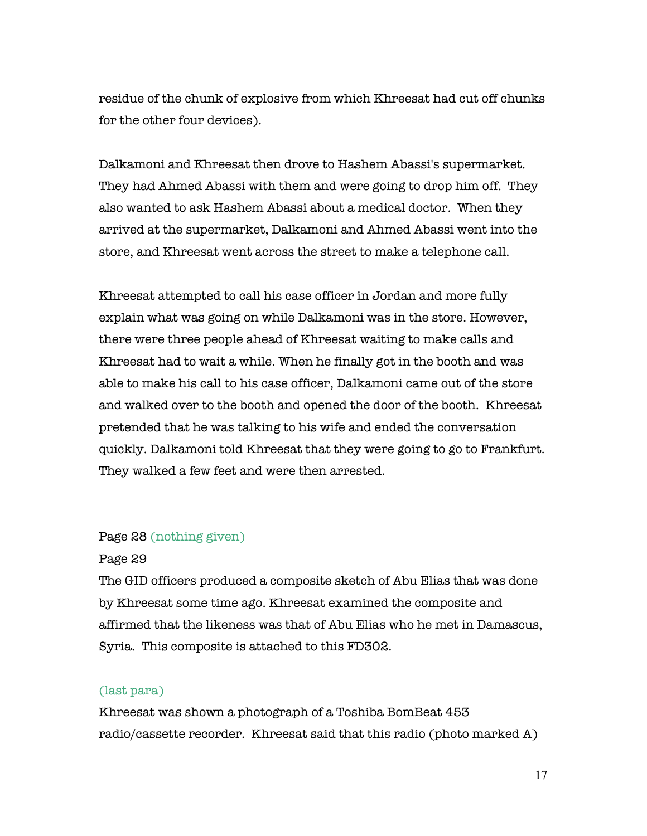residue of the chunk of explosive from which Khreesat had cut off chunks for the other four devices).

Dalkamoni and Khreesat then drove to Hashem Abassi's supermarket. They had Ahmed Abassi with them and were going to drop him off. They also wanted to ask Hashem Abassi about a medical doctor. When they arrived at the supermarket, Dalkamoni and Ahmed Abassi went into the store, and Khreesat went across the street to make a telephone call.

Khreesat attempted to call his case officer in Jordan and more fully explain what was going on while Dalkamoni was in the store. However, there were three people ahead of Khreesat waiting to make calls and Khreesat had to wait a while. When he finally got in the booth and was able to make his call to his case officer, Dalkamoni came out of the store and walked over to the booth and opened the door of the booth. Khreesat pretended that he was talking to his wife and ended the conversation quickly. Dalkamoni told Khreesat that they were going to go to Frankfurt. They walked a few feet and were then arrested.

### Page 28 (nothing given)

### Page 29

The GID officers produced a composite sketch of Abu Elias that was done by Khreesat some time ago. Khreesat examined the composite and affirmed that the likeness was that of Abu Elias who he met in Damascus, Syria. This composite is attached to this FD302.

### (last para)

Khreesat was shown a photograph of a Toshiba BomBeat 453 radio/cassette recorder. Khreesat said that this radio (photo marked A)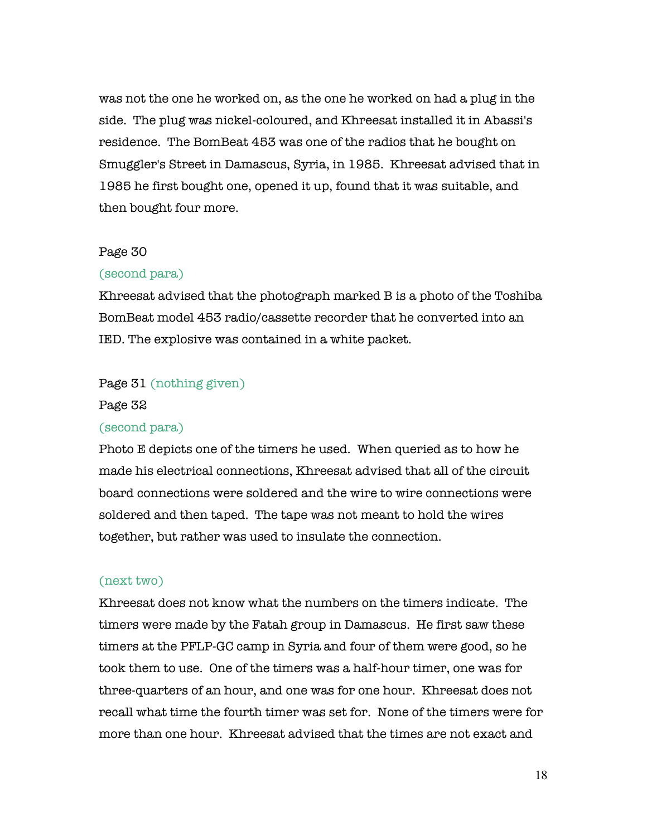was not the one he worked on, as the one he worked on had a plug in the side. The plug was nickel-coloured, and Khreesat installed it in Abassi's residence. The BomBeat 453 was one of the radios that he bought on Smuggler's Street in Damascus, Syria, in 1985. Khreesat advised that in 1985 he first bought one, opened it up, found that it was suitable, and then bought four more.

### Page 30

#### (second para)

Khreesat advised that the photograph marked B is a photo of the Toshiba BomBeat model 453 radio/cassette recorder that he converted into an IED. The explosive was contained in a white packet.

### Page 31 (nothing given)

#### Page 32

#### (second para)

Photo E depicts one of the timers he used. When queried as to how he made his electrical connections, Khreesat advised that all of the circuit board connections were soldered and the wire to wire connections were soldered and then taped. The tape was not meant to hold the wires together, but rather was used to insulate the connection.

#### (next two)

Khreesat does not know what the numbers on the timers indicate. The timers were made by the Fatah group in Damascus. He first saw these timers at the PFLP-GC camp in Syria and four of them were good, so he took them to use. One of the timers was a half-hour timer, one was for three-quarters of an hour, and one was for one hour. Khreesat does not recall what time the fourth timer was set for. None of the timers were for more than one hour. Khreesat advised that the times are not exact and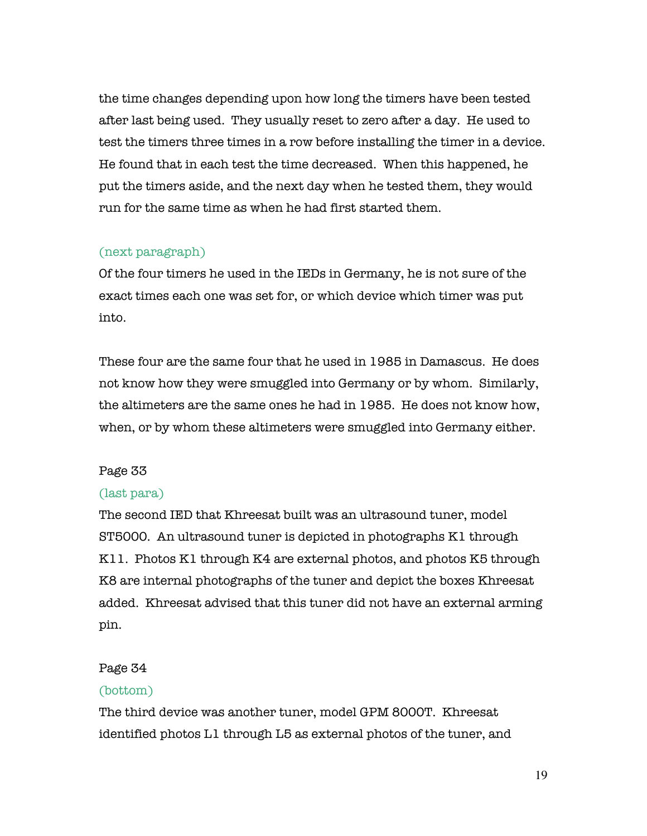the time changes depending upon how long the timers have been tested after last being used. They usually reset to zero after a day. He used to test the timers three times in a row before installing the timer in a device. He found that in each test the time decreased. When this happened, he put the timers aside, and the next day when he tested them, they would run for the same time as when he had first started them.

# (next paragraph)

Of the four timers he used in the IEDs in Germany, he is not sure of the exact times each one was set for, or which device which timer was put into.

These four are the same four that he used in 1985 in Damascus. He does not know how they were smuggled into Germany or by whom. Similarly, the altimeters are the same ones he had in 1985. He does not know how, when, or by whom these altimeters were smuggled into Germany either.

# Page 33

# (last para)

The second IED that Khreesat built was an ultrasound tuner, model ST5000. An ultrasound tuner is depicted in photographs K1 through K11. Photos K1 through K4 are external photos, and photos K5 through K8 are internal photographs of the tuner and depict the boxes Khreesat added. Khreesat advised that this tuner did not have an external arming pin.

# Page 34

# (bottom)

The third device was another tuner, model GPM 8000T. Khreesat identified photos L1 through L5 as external photos of the tuner, and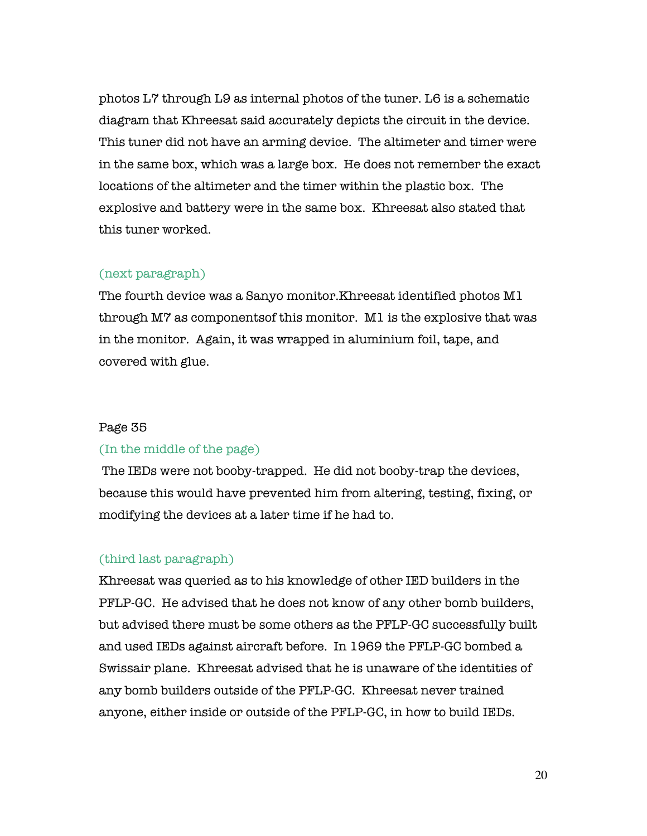photos L7 through L9 as internal photos of the tuner. L6 is a schematic diagram that Khreesat said accurately depicts the circuit in the device. This tuner did not have an arming device. The altimeter and timer were in the same box, which was a large box. He does not remember the exact locations of the altimeter and the timer within the plastic box. The explosive and battery were in the same box. Khreesat also stated that this tuner worked.

### (next paragraph)

The fourth device was a Sanyo monitor.Khreesat identified photos M1 through M7 as componentsof this monitor. M1 is the explosive that was in the monitor. Again, it was wrapped in aluminium foil, tape, and covered with glue.

### Page 35

### (In the middle of the page)

 The IEDs were not booby-trapped. He did not booby-trap the devices, because this would have prevented him from altering, testing, fixing, or modifying the devices at a later time if he had to.

### (third last paragraph)

Khreesat was queried as to his knowledge of other IED builders in the PFLP-GC. He advised that he does not know of any other bomb builders, but advised there must be some others as the PFLP-GC successfully built and used IEDs against aircraft before. In 1969 the PFLP-GC bombed a Swissair plane. Khreesat advised that he is unaware of the identities of any bomb builders outside of the PFLP-GC. Khreesat never trained anyone, either inside or outside of the PFLP-GC, in how to build IEDs.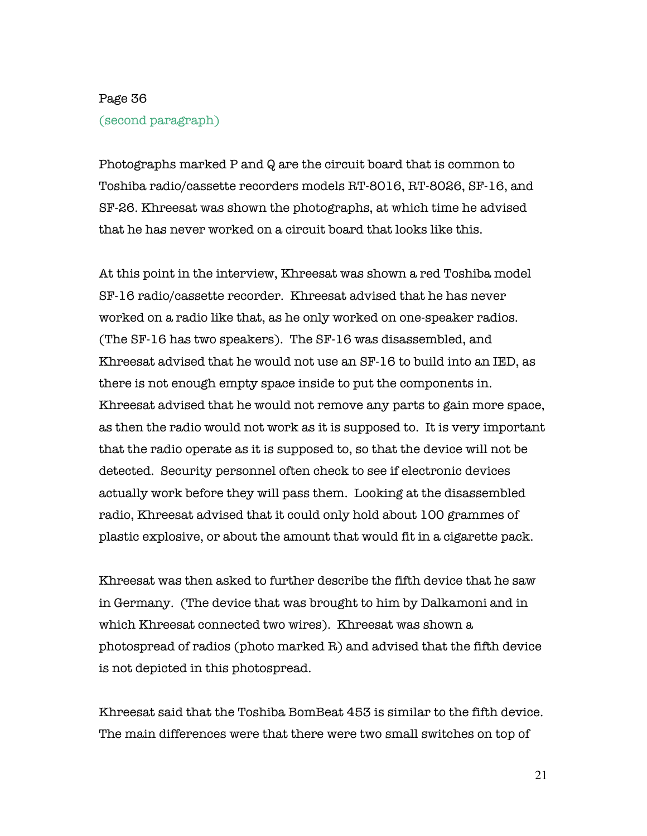# Page 36 (second paragraph)

Photographs marked P and Q are the circuit board that is common to Toshiba radio/cassette recorders models RT-8016, RT-8026, SF-16, and SF-26. Khreesat was shown the photographs, at which time he advised that he has never worked on a circuit board that looks like this.

At this point in the interview, Khreesat was shown a red Toshiba model SF-16 radio/cassette recorder. Khreesat advised that he has never worked on a radio like that, as he only worked on one-speaker radios. (The SF-16 has two speakers). The SF-16 was disassembled, and Khreesat advised that he would not use an SF-16 to build into an IED, as there is not enough empty space inside to put the components in. Khreesat advised that he would not remove any parts to gain more space, as then the radio would not work as it is supposed to. It is very important that the radio operate as it is supposed to, so that the device will not be detected. Security personnel often check to see if electronic devices actually work before they will pass them. Looking at the disassembled radio, Khreesat advised that it could only hold about 100 grammes of plastic explosive, or about the amount that would fit in a cigarette pack.

Khreesat was then asked to further describe the fifth device that he saw in Germany. (The device that was brought to him by Dalkamoni and in which Khreesat connected two wires). Khreesat was shown a photospread of radios (photo marked R) and advised that the fifth device is not depicted in this photospread.

Khreesat said that the Toshiba BomBeat 453 is similar to the fifth device. The main differences were that there were two small switches on top of